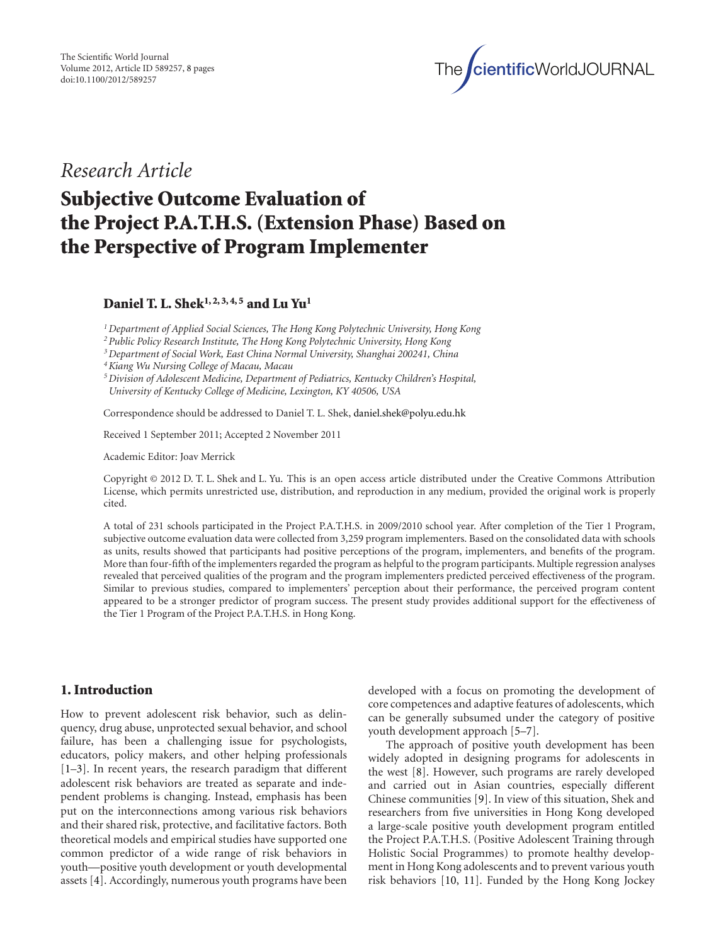

*Research Article*

# **Subjective Outcome Evaluation of the Project P.A.T.H.S. (Extension Phase) Based on the Perspective of Program Implementer**

**Daniel T. L. Shek1, 2, 3, 4, 5 and Lu Yu1**

*1Department of Applied Social Sciences, The Hong Kong Polytechnic University, Hong Kong*

*2Public Policy Research Institute, The Hong Kong Polytechnic University, Hong Kong*

*3Department of Social Work, East China Normal University, Shanghai 200241, China*

*4Kiang Wu Nursing College of Macau, Macau*

*5Division of Adolescent Medicine, Department of Pediatrics, Kentucky Children's Hospital, University of Kentucky College of Medicine, Lexington, KY 40506, USA*

Correspondence should be addressed to Daniel T. L. Shek, daniel.shek@polyu.edu.hk

Received 1 September 2011; Accepted 2 November 2011

Academic Editor: Joav Merrick

Copyright © 2012 D. T. L. Shek and L. Yu. This is an open access article distributed under the Creative Commons Attribution License, which permits unrestricted use, distribution, and reproduction in any medium, provided the original work is properly cited.

A total of 231 schools participated in the Project P.A.T.H.S. in 2009/2010 school year. After completion of the Tier 1 Program, subjective outcome evaluation data were collected from 3,259 program implementers. Based on the consolidated data with schools as units, results showed that participants had positive perceptions of the program, implementers, and benefits of the program. More than four-fifth of the implementers regarded the program as helpful to the program participants. Multiple regression analyses revealed that perceived qualities of the program and the program implementers predicted perceived effectiveness of the program. Similar to previous studies, compared to implementers' perception about their performance, the perceived program content appeared to be a stronger predictor of program success. The present study provides additional support for the effectiveness of the Tier 1 Program of the Project P.A.T.H.S. in Hong Kong.

## **1. Introduction**

How to prevent adolescent risk behavior, such as delinquency, drug abuse, unprotected sexual behavior, and school failure, has been a challenging issue for psychologists, educators, policy makers, and other helping professionals [1–3]. In recent years, the research paradigm that different adolescent risk behaviors are treated as separate and independent problems is changing. Instead, emphasis has been put on the interconnections among various risk behaviors and their shared risk, protective, and facilitative factors. Both theoretical models and empirical studies have supported one common predictor of a wide range of risk behaviors in youth—positive youth development or youth developmental assets [4]. Accordingly, numerous youth programs have been developed with a focus on promoting the development of core competences and adaptive features of adolescents, which can be generally subsumed under the category of positive youth development approach [5–7].

The approach of positive youth development has been widely adopted in designing programs for adolescents in the west [8]. However, such programs are rarely developed and carried out in Asian countries, especially different Chinese communities [9]. In view of this situation, Shek and researchers from five universities in Hong Kong developed a large-scale positive youth development program entitled the Project P.A.T.H.S. (Positive Adolescent Training through Holistic Social Programmes) to promote healthy development in Hong Kong adolescents and to prevent various youth risk behaviors [10, 11]. Funded by the Hong Kong Jockey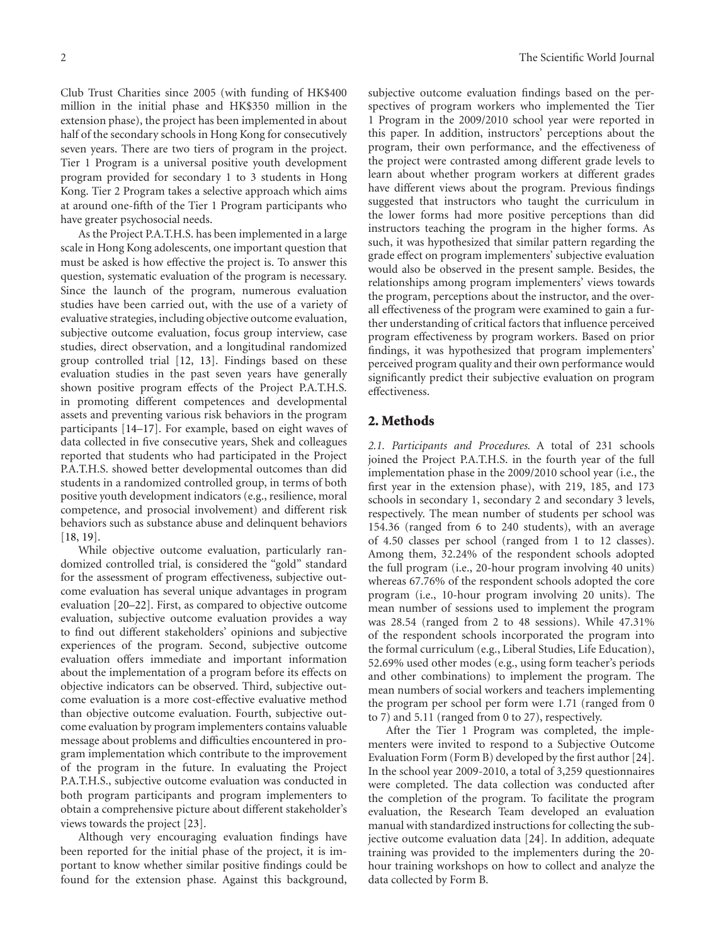Club Trust Charities since 2005 (with funding of HK\$400 million in the initial phase and HK\$350 million in the extension phase), the project has been implemented in about half of the secondary schools in Hong Kong for consecutively seven years. There are two tiers of program in the project. Tier 1 Program is a universal positive youth development program provided for secondary 1 to 3 students in Hong Kong. Tier 2 Program takes a selective approach which aims at around one-fifth of the Tier 1 Program participants who have greater psychosocial needs.

As the Project P.A.T.H.S. has been implemented in a large scale in Hong Kong adolescents, one important question that must be asked is how effective the project is. To answer this question, systematic evaluation of the program is necessary. Since the launch of the program, numerous evaluation studies have been carried out, with the use of a variety of evaluative strategies, including objective outcome evaluation, subjective outcome evaluation, focus group interview, case studies, direct observation, and a longitudinal randomized group controlled trial [12, 13]. Findings based on these evaluation studies in the past seven years have generally shown positive program effects of the Project P.A.T.H.S. in promoting different competences and developmental assets and preventing various risk behaviors in the program participants [14–17]. For example, based on eight waves of data collected in five consecutive years, Shek and colleagues reported that students who had participated in the Project P.A.T.H.S. showed better developmental outcomes than did students in a randomized controlled group, in terms of both positive youth development indicators (e.g., resilience, moral competence, and prosocial involvement) and different risk behaviors such as substance abuse and delinquent behaviors [18, 19].

While objective outcome evaluation, particularly randomized controlled trial, is considered the "gold" standard for the assessment of program effectiveness, subjective outcome evaluation has several unique advantages in program evaluation [20–22]. First, as compared to objective outcome evaluation, subjective outcome evaluation provides a way to find out different stakeholders' opinions and subjective experiences of the program. Second, subjective outcome evaluation offers immediate and important information about the implementation of a program before its effects on objective indicators can be observed. Third, subjective outcome evaluation is a more cost-effective evaluative method than objective outcome evaluation. Fourth, subjective outcome evaluation by program implementers contains valuable message about problems and difficulties encountered in program implementation which contribute to the improvement of the program in the future. In evaluating the Project P.A.T.H.S., subjective outcome evaluation was conducted in both program participants and program implementers to obtain a comprehensive picture about different stakeholder's views towards the project [23].

Although very encouraging evaluation findings have been reported for the initial phase of the project, it is important to know whether similar positive findings could be found for the extension phase. Against this background,

subjective outcome evaluation findings based on the perspectives of program workers who implemented the Tier 1 Program in the 2009/2010 school year were reported in this paper. In addition, instructors' perceptions about the program, their own performance, and the effectiveness of the project were contrasted among different grade levels to learn about whether program workers at different grades have different views about the program. Previous findings suggested that instructors who taught the curriculum in the lower forms had more positive perceptions than did instructors teaching the program in the higher forms. As such, it was hypothesized that similar pattern regarding the grade effect on program implementers' subjective evaluation would also be observed in the present sample. Besides, the relationships among program implementers' views towards the program, perceptions about the instructor, and the overall effectiveness of the program were examined to gain a further understanding of critical factors that influence perceived program effectiveness by program workers. Based on prior findings, it was hypothesized that program implementers' perceived program quality and their own performance would significantly predict their subjective evaluation on program effectiveness.

#### **2. Methods**

*2.1. Participants and Procedures.* A total of 231 schools joined the Project P.A.T.H.S. in the fourth year of the full implementation phase in the 2009/2010 school year (i.e., the first year in the extension phase), with 219, 185, and 173 schools in secondary 1, secondary 2 and secondary 3 levels, respectively. The mean number of students per school was 154.36 (ranged from 6 to 240 students), with an average of 4.50 classes per school (ranged from 1 to 12 classes). Among them, 32.24% of the respondent schools adopted the full program (i.e., 20-hour program involving 40 units) whereas 67.76% of the respondent schools adopted the core program (i.e., 10-hour program involving 20 units). The mean number of sessions used to implement the program was 28.54 (ranged from 2 to 48 sessions). While 47.31% of the respondent schools incorporated the program into the formal curriculum (e.g., Liberal Studies, Life Education), 52.69% used other modes (e.g., using form teacher's periods and other combinations) to implement the program. The mean numbers of social workers and teachers implementing the program per school per form were 1.71 (ranged from 0 to 7) and 5.11 (ranged from 0 to 27), respectively.

After the Tier 1 Program was completed, the implementers were invited to respond to a Subjective Outcome Evaluation Form (Form B) developed by the first author [24]. In the school year 2009-2010, a total of 3,259 questionnaires were completed. The data collection was conducted after the completion of the program. To facilitate the program evaluation, the Research Team developed an evaluation manual with standardized instructions for collecting the subjective outcome evaluation data [24]. In addition, adequate training was provided to the implementers during the 20 hour training workshops on how to collect and analyze the data collected by Form B.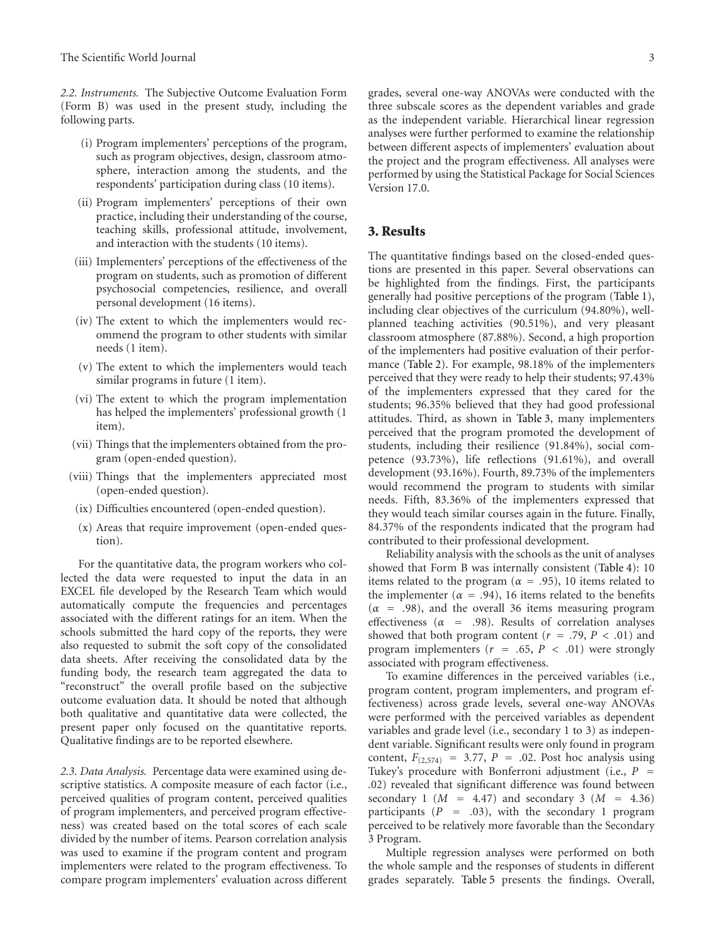*2.2. Instruments.* The Subjective Outcome Evaluation Form (Form B) was used in the present study, including the following parts.

- (i) Program implementers' perceptions of the program, such as program objectives, design, classroom atmosphere, interaction among the students, and the respondents' participation during class (10 items).
- (ii) Program implementers' perceptions of their own practice, including their understanding of the course, teaching skills, professional attitude, involvement, and interaction with the students (10 items).
- (iii) Implementers' perceptions of the effectiveness of the program on students, such as promotion of different psychosocial competencies, resilience, and overall personal development (16 items).
- (iv) The extent to which the implementers would recommend the program to other students with similar needs (1 item).
- (v) The extent to which the implementers would teach similar programs in future (1 item).
- (vi) The extent to which the program implementation has helped the implementers' professional growth (1 item).
- (vii) Things that the implementers obtained from the program (open-ended question).
- (viii) Things that the implementers appreciated most (open-ended question).
- (ix) Difficulties encountered (open-ended question).
- (x) Areas that require improvement (open-ended question).

For the quantitative data, the program workers who collected the data were requested to input the data in an EXCEL file developed by the Research Team which would automatically compute the frequencies and percentages associated with the different ratings for an item. When the schools submitted the hard copy of the reports, they were also requested to submit the soft copy of the consolidated data sheets. After receiving the consolidated data by the funding body, the research team aggregated the data to "reconstruct" the overall profile based on the subjective outcome evaluation data. It should be noted that although both qualitative and quantitative data were collected, the present paper only focused on the quantitative reports. Qualitative findings are to be reported elsewhere.

*2.3. Data Analysis.* Percentage data were examined using descriptive statistics. A composite measure of each factor (i.e., perceived qualities of program content, perceived qualities of program implementers, and perceived program effectiveness) was created based on the total scores of each scale divided by the number of items. Pearson correlation analysis was used to examine if the program content and program implementers were related to the program effectiveness. To compare program implementers' evaluation across different

grades, several one-way ANOVAs were conducted with the three subscale scores as the dependent variables and grade as the independent variable. Hierarchical linear regression analyses were further performed to examine the relationship between different aspects of implementers' evaluation about the project and the program effectiveness. All analyses were performed by using the Statistical Package for Social Sciences Version 17.0.

#### **3. Results**

The quantitative findings based on the closed-ended questions are presented in this paper. Several observations can be highlighted from the findings. First, the participants generally had positive perceptions of the program (Table 1), including clear objectives of the curriculum (94.80%), wellplanned teaching activities (90.51%), and very pleasant classroom atmosphere (87.88%). Second, a high proportion of the implementers had positive evaluation of their performance (Table 2). For example, 98.18% of the implementers perceived that they were ready to help their students; 97.43% of the implementers expressed that they cared for the students; 96.35% believed that they had good professional attitudes. Third, as shown in Table 3, many implementers perceived that the program promoted the development of students, including their resilience (91.84%), social competence (93.73%), life reflections (91.61%), and overall development (93.16%). Fourth, 89.73% of the implementers would recommend the program to students with similar needs. Fifth, 83.36% of the implementers expressed that they would teach similar courses again in the future. Finally, 84.37% of the respondents indicated that the program had contributed to their professional development.

Reliability analysis with the schools as the unit of analyses showed that Form B was internally consistent (Table 4): 10 items related to the program ( $\alpha = .95$ ), 10 items related to the implementer ( $\alpha = .94$ ), 16 items related to the benefits (*<sup>α</sup>* <sup>=</sup> *.*98), and the overall 36 items measuring program effectiveness ( $\alpha$  = .98). Results of correlation analyses showed that both program content  $(r = .79, P < .01)$  and program implementers  $(r = .65, P < .01)$  were strongly associated with program effectiveness.

To examine differences in the perceived variables (i.e., program content, program implementers, and program effectiveness) across grade levels, several one-way ANOVAs were performed with the perceived variables as dependent variables and grade level (i.e., secondary 1 to 3) as independent variable. Significant results were only found in program content,  $F_{(2,574)} = 3.77$ ,  $P = .02$ . Post hoc analysis using Tukey's procedure with Bonferroni adjustment (i.e.,  $P =$ *.*02) revealed that significant difference was found between secondary 1 ( $M = 4.47$ ) and secondary 3 ( $M = 4.36$ ) participants (*<sup>P</sup>* <sup>=</sup> *.*03), with the secondary 1 program perceived to be relatively more favorable than the Secondary 3 Program.

Multiple regression analyses were performed on both the whole sample and the responses of students in different grades separately. Table 5 presents the findings. Overall,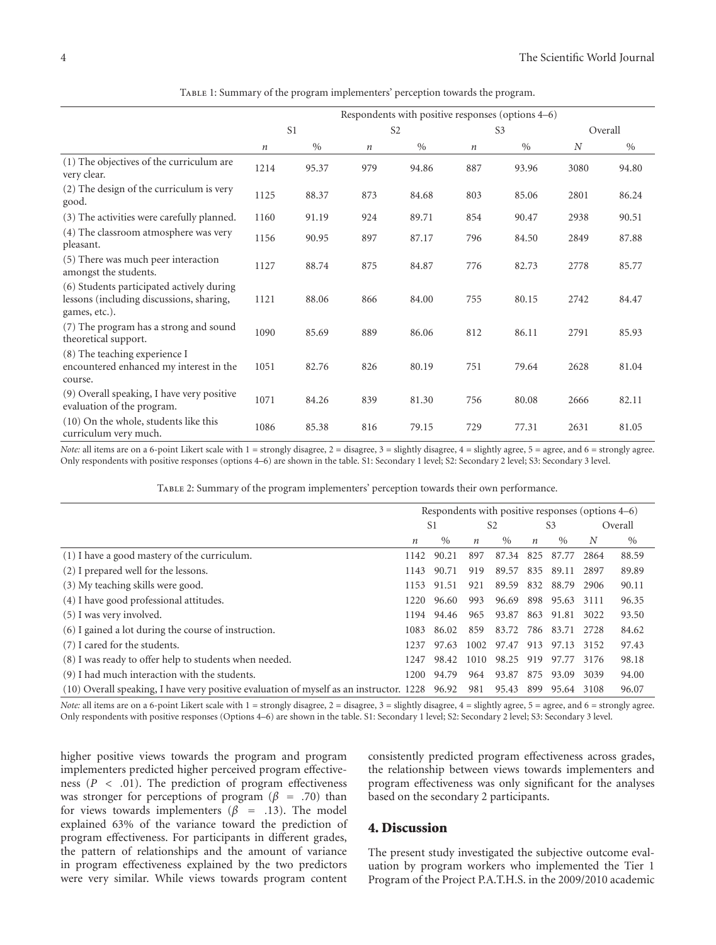|                                                                                                        | Respondents with positive responses (options 4–6) |       |                  |       |                  |       |                  |       |
|--------------------------------------------------------------------------------------------------------|---------------------------------------------------|-------|------------------|-------|------------------|-------|------------------|-------|
|                                                                                                        | S <sub>1</sub>                                    |       | S <sub>2</sub>   |       | S <sub>3</sub>   |       | Overall          |       |
|                                                                                                        | $\boldsymbol{n}$                                  | $\%$  | $\boldsymbol{n}$ | $\%$  | $\boldsymbol{n}$ | $\%$  | $\boldsymbol{N}$ | $\%$  |
| (1) The objectives of the curriculum are<br>very clear.                                                | 1214                                              | 95.37 | 979              | 94.86 | 887              | 93.96 | 3080             | 94.80 |
| (2) The design of the curriculum is very<br>good.                                                      | 1125                                              | 88.37 | 873              | 84.68 | 803              | 85.06 | 2801             | 86.24 |
| (3) The activities were carefully planned.                                                             | 1160                                              | 91.19 | 924              | 89.71 | 854              | 90.47 | 2938             | 90.51 |
| (4) The classroom atmosphere was very<br>pleasant.                                                     | 1156                                              | 90.95 | 897              | 87.17 | 796              | 84.50 | 2849             | 87.88 |
| (5) There was much peer interaction<br>amongst the students.                                           | 1127                                              | 88.74 | 875              | 84.87 | 776              | 82.73 | 2778             | 85.77 |
| (6) Students participated actively during<br>lessons (including discussions, sharing,<br>games, etc.). | 1121                                              | 88.06 | 866              | 84.00 | 755              | 80.15 | 2742             | 84.47 |
| (7) The program has a strong and sound<br>theoretical support.                                         | 1090                                              | 85.69 | 889              | 86.06 | 812              | 86.11 | 2791             | 85.93 |
| (8) The teaching experience I<br>encountered enhanced my interest in the<br>course.                    | 1051                                              | 82.76 | 826              | 80.19 | 751              | 79.64 | 2628             | 81.04 |
| (9) Overall speaking, I have very positive<br>evaluation of the program.                               | 1071                                              | 84.26 | 839              | 81.30 | 756              | 80.08 | 2666             | 82.11 |
| (10) On the whole, students like this<br>curriculum very much.                                         | 1086                                              | 85.38 | 816              | 79.15 | 729              | 77.31 | 2631             | 81.05 |

Table 1: Summary of the program implementers' perception towards the program.

*Note:* all items are on a 6-point Likert scale with 1 = strongly disagree, 2 = disagree, 3 = slightly disagree, 4 = slightly agree, 5 = agree, and 6 = strongly agree. Only respondents with positive responses (options 4–6) are shown in the table. S1: Secondary 1 level; S2: Secondary 2 level; S3: Secondary 3 level.

|                                                                                               | Respondents with positive responses (options 4–6) |               |                  |               |                  |               |        |         |
|-----------------------------------------------------------------------------------------------|---------------------------------------------------|---------------|------------------|---------------|------------------|---------------|--------|---------|
|                                                                                               |                                                   | S1            | S <sub>2</sub>   |               | S <sub>3</sub>   |               |        | Overall |
|                                                                                               | $\boldsymbol{n}$                                  | $\frac{0}{0}$ | $\boldsymbol{n}$ | $\frac{0}{0}$ | $\boldsymbol{n}$ | $\frac{0}{0}$ | N      | $\%$    |
| (1) I have a good mastery of the curriculum.                                                  | 1142                                              | 90.21         | 897              | 87.34         | 825              | 87.77         | 2864   | 88.59   |
| (2) I prepared well for the lessons.                                                          | 1143                                              | 90.71         | 919              | 89.57         | 835              | 89.11         | 2897   | 89.89   |
| (3) My teaching skills were good.                                                             | 1153                                              | 91.51         | 921              | 89.59         | 832              | 88.79         | 2906   | 90.11   |
| (4) I have good professional attitudes.                                                       | 1220                                              | 96.60         | 993              | 96.69         | 898              | 95.63         | 3111   | 96.35   |
| (5) I was very involved.                                                                      | 1194                                              | 94.46         | 965              | 93.87         | 863              | 91.81         | 3022   | 93.50   |
| (6) I gained a lot during the course of instruction.                                          | 1083                                              | 86.02         | 859              | 83.72         |                  | 786 83.71     | 2.72.8 | 84.62   |
| (7) I cared for the students.                                                                 | 1237                                              | 97.63         | 1002             | 97.47         | 913              | 97.13         | 3152   | 97.43   |
| (8) I was ready to offer help to students when needed.                                        | 1247                                              | 98.42         | 1010             | 98.25         | 919              | 97.77         | 3176   | 98.18   |
| (9) I had much interaction with the students.                                                 | 1200.                                             | 94.79         | 964              | 93.87         | 875              | 93.09         | 3039   | 94.00   |
| (10) Overall speaking, I have very positive evaluation of myself as an instructor. 1228 96.92 |                                                   |               | 981              | 95.43         | 899              | 95.64         | 3108   | 96.07   |

Table 2: Summary of the program implementers' perception towards their own performance.

*Note:* all items are on a 6-point Likert scale with 1 = strongly disagree, 2 = disagree, 3 = slightly disagree, 4 = slightly agree, 5 = agree, and 6 = strongly agree. Only respondents with positive responses (Options 4–6) are shown in the table. S1: Secondary 1 level; S2: Secondary 2 level; S3: Secondary 3 level.

higher positive views towards the program and program implementers predicted higher perceived program effectiveness  $(P \lt 0.01)$ . The prediction of program effectiveness was stronger for perceptions of program ( $\beta$  = .70) than for views towards implementers ( $\beta$  = .13). The model explained 63% of the variance toward the prediction of program effectiveness. For participants in different grades, the pattern of relationships and the amount of variance in program effectiveness explained by the two predictors were very similar. While views towards program content

consistently predicted program effectiveness across grades, the relationship between views towards implementers and program effectiveness was only significant for the analyses based on the secondary 2 participants.

#### **4. Discussion**

The present study investigated the subjective outcome evaluation by program workers who implemented the Tier 1 Program of the Project P.A.T.H.S. in the 2009/2010 academic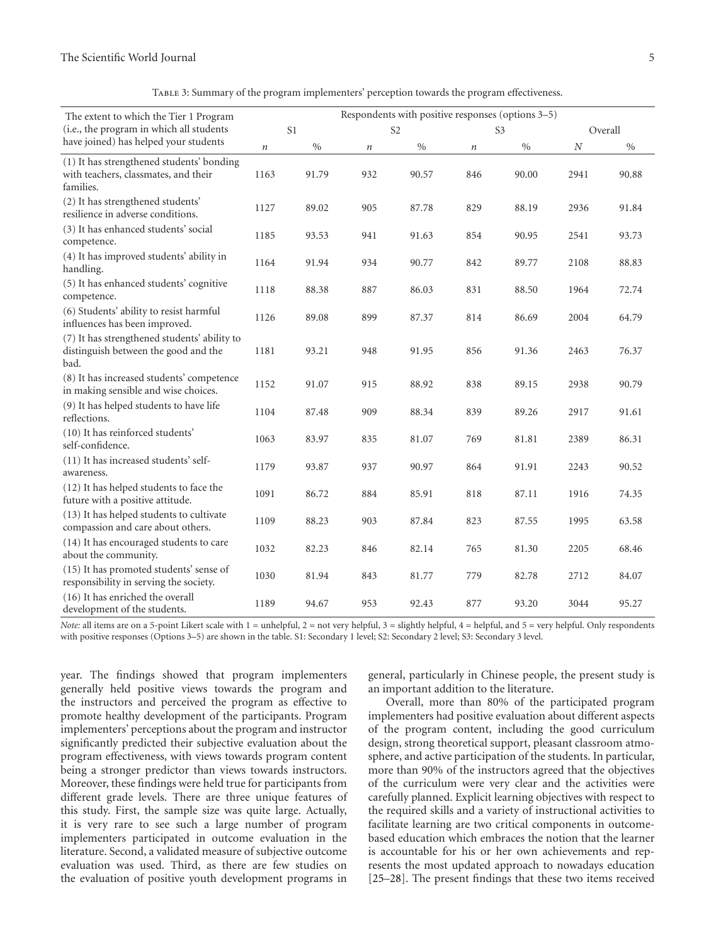| TABLE 3: Summary of the program implementers' perception towards the program effectiveness. |  |  |
|---------------------------------------------------------------------------------------------|--|--|
|                                                                                             |  |  |

| The extent to which the Tier 1 Program                                                         | Respondents with positive responses (options 3-5) |            |                |       |                |       |          |       |  |
|------------------------------------------------------------------------------------------------|---------------------------------------------------|------------|----------------|-------|----------------|-------|----------|-------|--|
| (i.e., the program in which all students                                                       | S <sub>1</sub>                                    |            | S <sub>2</sub> |       | S <sub>3</sub> |       | Overall  |       |  |
| have joined) has helped your students                                                          | $\,n$                                             | $0\!/\!_0$ | $\it n$        | $\%$  | $\it n$        | $\%$  | $\cal N$ | $\%$  |  |
| (1) It has strengthened students' bonding<br>with teachers, classmates, and their<br>families. | 1163                                              | 91.79      | 932            | 90.57 | 846            | 90.00 | 2941     | 90.88 |  |
| (2) It has strengthened students'<br>resilience in adverse conditions.                         | 1127                                              | 89.02      | 905            | 87.78 | 829            | 88.19 | 2936     | 91.84 |  |
| (3) It has enhanced students' social<br>competence.                                            | 1185                                              | 93.53      | 941            | 91.63 | 854            | 90.95 | 2541     | 93.73 |  |
| (4) It has improved students' ability in<br>handling.                                          | 1164                                              | 91.94      | 934            | 90.77 | 842            | 89.77 | 2108     | 88.83 |  |
| (5) It has enhanced students' cognitive<br>competence.                                         | 1118                                              | 88.38      | 887            | 86.03 | 831            | 88.50 | 1964     | 72.74 |  |
| (6) Students' ability to resist harmful<br>influences has been improved.                       | 1126                                              | 89.08      | 899            | 87.37 | 814            | 86.69 | 2004     | 64.79 |  |
| (7) It has strengthened students' ability to<br>distinguish between the good and the<br>bad.   | 1181                                              | 93.21      | 948            | 91.95 | 856            | 91.36 | 2463     | 76.37 |  |
| (8) It has increased students' competence<br>in making sensible and wise choices.              | 1152                                              | 91.07      | 915            | 88.92 | 838            | 89.15 | 2938     | 90.79 |  |
| (9) It has helped students to have life<br>reflections.                                        | 1104                                              | 87.48      | 909            | 88.34 | 839            | 89.26 | 2917     | 91.61 |  |
| (10) It has reinforced students'<br>self-confidence.                                           | 1063                                              | 83.97      | 835            | 81.07 | 769            | 81.81 | 2389     | 86.31 |  |
| (11) It has increased students' self-<br>awareness.                                            | 1179                                              | 93.87      | 937            | 90.97 | 864            | 91.91 | 2243     | 90.52 |  |
| (12) It has helped students to face the<br>future with a positive attitude.                    | 1091                                              | 86.72      | 884            | 85.91 | 818            | 87.11 | 1916     | 74.35 |  |
| (13) It has helped students to cultivate<br>compassion and care about others.                  | 1109                                              | 88.23      | 903            | 87.84 | 823            | 87.55 | 1995     | 63.58 |  |
| (14) It has encouraged students to care<br>about the community.                                | 1032                                              | 82.23      | 846            | 82.14 | 765            | 81.30 | 2205     | 68.46 |  |
| (15) It has promoted students' sense of<br>responsibility in serving the society.              | 1030                                              | 81.94      | 843            | 81.77 | 779            | 82.78 | 2712     | 84.07 |  |
| (16) It has enriched the overall<br>development of the students.                               | 1189                                              | 94.67      | 953            | 92.43 | 877            | 93.20 | 3044     | 95.27 |  |

*Note*: all items are on a 5-point Likert scale with 1 = unhelpful, 2 = not very helpful, 3 = slightly helpful, 4 = helpful, and 5 = very helpful. Only respondents with positive responses (Options 3–5) are shown in the table. S1: Secondary 1 level; S2: Secondary 2 level; S3: Secondary 3 level.

year. The findings showed that program implementers generally held positive views towards the program and the instructors and perceived the program as effective to promote healthy development of the participants. Program implementers' perceptions about the program and instructor significantly predicted their subjective evaluation about the program effectiveness, with views towards program content being a stronger predictor than views towards instructors. Moreover, these findings were held true for participants from different grade levels. There are three unique features of this study. First, the sample size was quite large. Actually, it is very rare to see such a large number of program implementers participated in outcome evaluation in the literature. Second, a validated measure of subjective outcome evaluation was used. Third, as there are few studies on the evaluation of positive youth development programs in

general, particularly in Chinese people, the present study is an important addition to the literature.

Overall, more than 80% of the participated program implementers had positive evaluation about different aspects of the program content, including the good curriculum design, strong theoretical support, pleasant classroom atmosphere, and active participation of the students. In particular, more than 90% of the instructors agreed that the objectives of the curriculum were very clear and the activities were carefully planned. Explicit learning objectives with respect to the required skills and a variety of instructional activities to facilitate learning are two critical components in outcomebased education which embraces the notion that the learner is accountable for his or her own achievements and represents the most updated approach to nowadays education [25–28]. The present findings that these two items received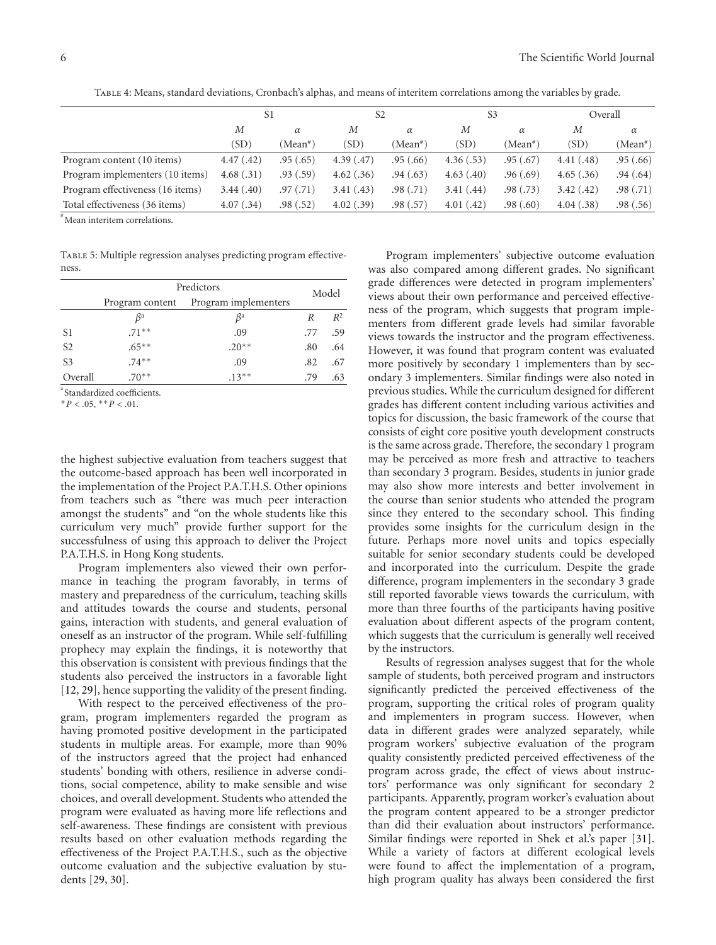|                                  | S1         |           | S2         |           | S <sub>3</sub> |            | Overall   |          |
|----------------------------------|------------|-----------|------------|-----------|----------------|------------|-----------|----------|
|                                  | М          | $\alpha$  | М          | $\alpha$  | М              | $\alpha$   | М         | $\alpha$ |
|                                  | (SD)       | (Mean#)   | (SD)       | (Mean#)   | (SD)           | $(Mean^*)$ | (SD)      | (Mean#)  |
| Program content (10 items)       | 4.47(0.42) | .95(.65)  | 4.39(0.47) | .95(.66)  | 4.36(.53)      | .95(.67)   | 4.41(.48) | .95(.66) |
| Program implementers (10 items)  | 4.68(.31)  | .93(.59)  | 4.62(.36)  | .94(.63)  | 4.63(0.40)     | .96(.69)   | 4.65(.36) | .94(.64) |
| Program effectiveness (16 items) | 3.44(0,40) | .97(0.71) | 3.41(.43)  | .98(0.71) | 3.41(.44)      | .98(.73)   | 3.42(.42) | .98(.71) |
| Total effectiveness (36 items)   | 4.07(.34)  | .98 (.52) | 4.02(.39)  | .98(.57)  | 4.01(0.42)     | .98(.60)   | 4.04(.38) | .98(.56) |

Table 4: Means, standard deviations, Cronbach's alphas, and means of interitem correlations among the variables by grade.

# Mean interitem correlations.

TABLE 5: Multiple regression analyses predicting program effectiveness.

|                | Model           |           |     |       |
|----------------|-----------------|-----------|-----|-------|
|                | Program content |           |     |       |
|                | $\beta^a$       | $\beta^a$ | R   | $R^2$ |
| S <sub>1</sub> | $.71**$         | .09       | .77 | .59   |
| S <sub>2</sub> | $.65***$        | $.20**$   | .80 | .64   |
| S <sub>3</sub> | $.74***$        | .09       | .82 | .67   |
| Overall        | $.70**$         | $.13***$  | .79 | .63   |

a Standardized coefficients.

 $*P < .05, **P < .01.$ 

the highest subjective evaluation from teachers suggest that the outcome-based approach has been well incorporated in the implementation of the Project P.A.T.H.S. Other opinions from teachers such as "there was much peer interaction amongst the students" and "on the whole students like this curriculum very much" provide further support for the successfulness of using this approach to deliver the Project P.A.T.H.S. in Hong Kong students.

Program implementers also viewed their own performance in teaching the program favorably, in terms of mastery and preparedness of the curriculum, teaching skills and attitudes towards the course and students, personal gains, interaction with students, and general evaluation of oneself as an instructor of the program. While self-fulfilling prophecy may explain the findings, it is noteworthy that this observation is consistent with previous findings that the students also perceived the instructors in a favorable light [12, 29], hence supporting the validity of the present finding.

With respect to the perceived effectiveness of the program, program implementers regarded the program as having promoted positive development in the participated students in multiple areas. For example, more than 90% of the instructors agreed that the project had enhanced students' bonding with others, resilience in adverse conditions, social competence, ability to make sensible and wise choices, and overall development. Students who attended the program were evaluated as having more life reflections and self-awareness. These findings are consistent with previous results based on other evaluation methods regarding the effectiveness of the Project P.A.T.H.S., such as the objective outcome evaluation and the subjective evaluation by students [29, 30].

Program implementers' subjective outcome evaluation was also compared among different grades. No significant grade differences were detected in program implementers' views about their own performance and perceived effectiveness of the program, which suggests that program implementers from different grade levels had similar favorable views towards the instructor and the program effectiveness. However, it was found that program content was evaluated more positively by secondary 1 implementers than by secondary 3 implementers. Similar findings were also noted in previous studies. While the curriculum designed for different grades has different content including various activities and topics for discussion, the basic framework of the course that consists of eight core positive youth development constructs is the same across grade. Therefore, the secondary 1 program may be perceived as more fresh and attractive to teachers than secondary 3 program. Besides, students in junior grade may also show more interests and better involvement in the course than senior students who attended the program since they entered to the secondary school. This finding provides some insights for the curriculum design in the future. Perhaps more novel units and topics especially suitable for senior secondary students could be developed and incorporated into the curriculum. Despite the grade difference, program implementers in the secondary 3 grade still reported favorable views towards the curriculum, with more than three fourths of the participants having positive evaluation about different aspects of the program content, which suggests that the curriculum is generally well received by the instructors.

Results of regression analyses suggest that for the whole sample of students, both perceived program and instructors significantly predicted the perceived effectiveness of the program, supporting the critical roles of program quality and implementers in program success. However, when data in different grades were analyzed separately, while program workers' subjective evaluation of the program quality consistently predicted perceived effectiveness of the program across grade, the effect of views about instructors' performance was only significant for secondary 2 participants. Apparently, program worker's evaluation about the program content appeared to be a stronger predictor than did their evaluation about instructors' performance. Similar findings were reported in Shek et al.'s paper [31]. While a variety of factors at different ecological levels were found to affect the implementation of a program, high program quality has always been considered the first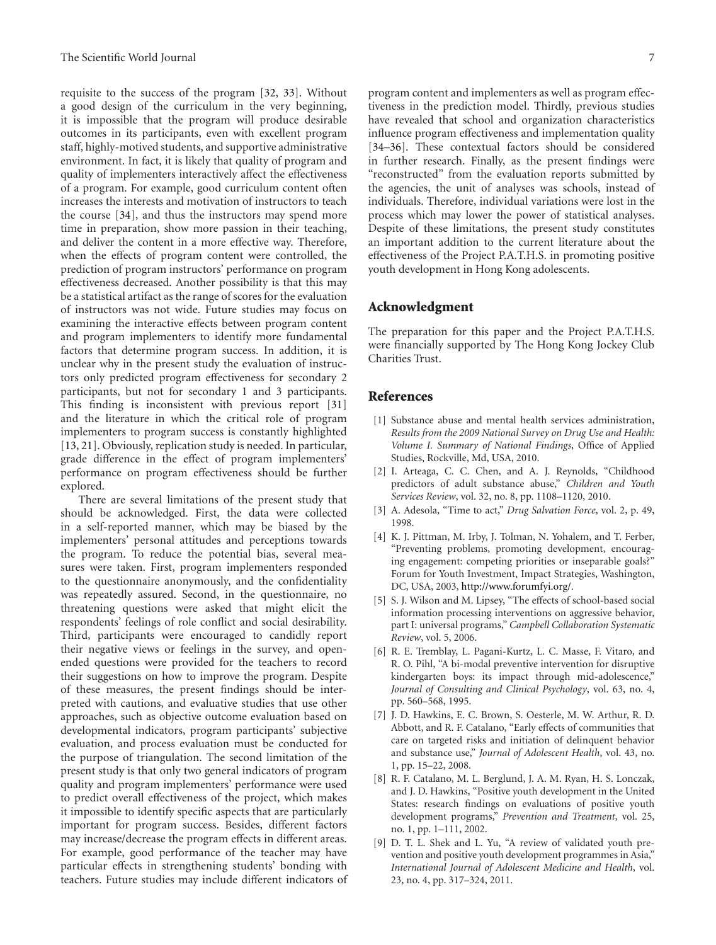requisite to the success of the program [32, 33]. Without a good design of the curriculum in the very beginning, it is impossible that the program will produce desirable outcomes in its participants, even with excellent program staff, highly-motived students, and supportive administrative environment. In fact, it is likely that quality of program and quality of implementers interactively affect the effectiveness of a program. For example, good curriculum content often increases the interests and motivation of instructors to teach the course [34], and thus the instructors may spend more time in preparation, show more passion in their teaching, and deliver the content in a more effective way. Therefore, when the effects of program content were controlled, the prediction of program instructors' performance on program effectiveness decreased. Another possibility is that this may be a statistical artifact as the range of scores for the evaluation of instructors was not wide. Future studies may focus on examining the interactive effects between program content and program implementers to identify more fundamental factors that determine program success. In addition, it is unclear why in the present study the evaluation of instructors only predicted program effectiveness for secondary 2 participants, but not for secondary 1 and 3 participants. This finding is inconsistent with previous report [31] and the literature in which the critical role of program implementers to program success is constantly highlighted [13, 21]. Obviously, replication study is needed. In particular, grade difference in the effect of program implementers' performance on program effectiveness should be further explored.

There are several limitations of the present study that should be acknowledged. First, the data were collected in a self-reported manner, which may be biased by the implementers' personal attitudes and perceptions towards the program. To reduce the potential bias, several measures were taken. First, program implementers responded to the questionnaire anonymously, and the confidentiality was repeatedly assured. Second, in the questionnaire, no threatening questions were asked that might elicit the respondents' feelings of role conflict and social desirability. Third, participants were encouraged to candidly report their negative views or feelings in the survey, and openended questions were provided for the teachers to record their suggestions on how to improve the program. Despite of these measures, the present findings should be interpreted with cautions, and evaluative studies that use other approaches, such as objective outcome evaluation based on developmental indicators, program participants' subjective evaluation, and process evaluation must be conducted for the purpose of triangulation. The second limitation of the present study is that only two general indicators of program quality and program implementers' performance were used to predict overall effectiveness of the project, which makes it impossible to identify specific aspects that are particularly important for program success. Besides, different factors may increase/decrease the program effects in different areas. For example, good performance of the teacher may have particular effects in strengthening students' bonding with teachers. Future studies may include different indicators of

program content and implementers as well as program effectiveness in the prediction model. Thirdly, previous studies have revealed that school and organization characteristics influence program effectiveness and implementation quality [34–36]. These contextual factors should be considered in further research. Finally, as the present findings were "reconstructed" from the evaluation reports submitted by the agencies, the unit of analyses was schools, instead of individuals. Therefore, individual variations were lost in the process which may lower the power of statistical analyses. Despite of these limitations, the present study constitutes an important addition to the current literature about the effectiveness of the Project P.A.T.H.S. in promoting positive youth development in Hong Kong adolescents.

#### **Acknowledgment**

The preparation for this paper and the Project P.A.T.H.S. were financially supported by The Hong Kong Jockey Club Charities Trust.

### **References**

- [1] Substance abuse and mental health services administration, *Results from the 2009 National Survey on Drug Use and Health: Volume I. Summary of National Findings*, Office of Applied Studies, Rockville, Md, USA, 2010.
- [2] I. Arteaga, C. C. Chen, and A. J. Reynolds, "Childhood predictors of adult substance abuse," *Children and Youth Services Review*, vol. 32, no. 8, pp. 1108–1120, 2010.
- [3] A. Adesola, "Time to act," *Drug Salvation Force*, vol. 2, p. 49, 1998.
- [4] K. J. Pittman, M. Irby, J. Tolman, N. Yohalem, and T. Ferber, "Preventing problems, promoting development, encouraging engagement: competing priorities or inseparable goals?" Forum for Youth Investment, Impact Strategies, Washington, DC, USA, 2003, http://www.forumfyi.org/.
- [5] S. J. Wilson and M. Lipsey, "The effects of school-based social information processing interventions on aggressive behavior, part I: universal programs," *Campbell Collaboration Systematic Review*, vol. 5, 2006.
- [6] R. E. Tremblay, L. Pagani-Kurtz, L. C. Masse, F. Vitaro, and R. O. Pihl, "A bi-modal preventive intervention for disruptive kindergarten boys: its impact through mid-adolescence," *Journal of Consulting and Clinical Psychology*, vol. 63, no. 4, pp. 560–568, 1995.
- [7] J. D. Hawkins, E. C. Brown, S. Oesterle, M. W. Arthur, R. D. Abbott, and R. F. Catalano, "Early effects of communities that care on targeted risks and initiation of delinquent behavior and substance use," *Journal of Adolescent Health*, vol. 43, no. 1, pp. 15–22, 2008.
- [8] R. F. Catalano, M. L. Berglund, J. A. M. Ryan, H. S. Lonczak, and J. D. Hawkins, "Positive youth development in the United States: research findings on evaluations of positive youth development programs," *Prevention and Treatment*, vol. 25, no. 1, pp. 1–111, 2002.
- [9] D. T. L. Shek and L. Yu, "A review of validated youth prevention and positive youth development programmes in Asia," *International Journal of Adolescent Medicine and Health*, vol. 23, no. 4, pp. 317–324, 2011.